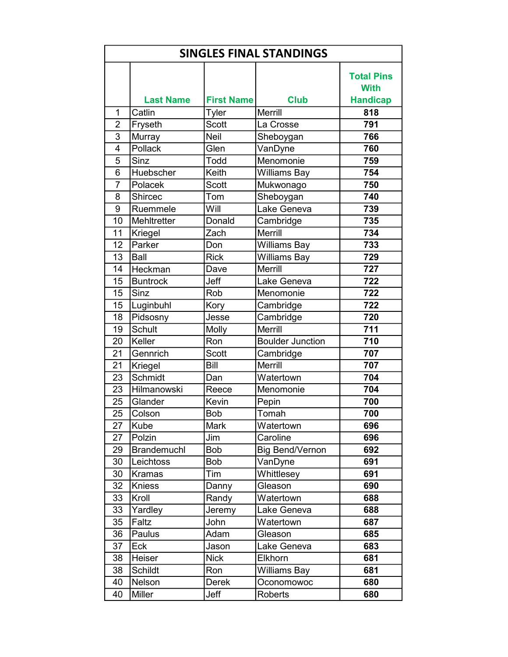| <b>SINGLES FINAL STANDINGS</b> |                    |                   |                         |                                  |
|--------------------------------|--------------------|-------------------|-------------------------|----------------------------------|
|                                |                    |                   |                         | <b>Total Pins</b><br><b>With</b> |
|                                | <b>Last Name</b>   | <b>First Name</b> | <b>Club</b>             | <b>Handicap</b>                  |
| 1                              | Catlin             | Tyler             | <b>Merrill</b>          | 818                              |
| $\overline{2}$                 | Fryseth            | <b>Scott</b>      | La Crosse               | 791                              |
| $\overline{3}$                 | Murray             | Neil              | Sheboygan               | 766                              |
| 4                              | Pollack            | Glen              | VanDyne                 | 760                              |
| 5                              | Sinz               | Todd              | Menomonie               | 759                              |
| 6                              | Huebscher          | Keith             | Williams Bay            | 754                              |
| $\overline{7}$                 | Polacek            | <b>Scott</b>      | Mukwonago               | 750                              |
| 8                              | Shircec            | Tom               | Sheboygan               | 740                              |
| 9                              | Ruemmele           | Will              | Lake Geneva             | 739                              |
| 10                             | Mehltretter        | Donald            | Cambridge               | 735                              |
| 11                             | Kriegel            | Zach              | <b>Merrill</b>          | 734                              |
| 12                             | Parker             | Don               | <b>Williams Bay</b>     | 733                              |
| 13                             | Ball               | <b>Rick</b>       | Williams Bay            | 729                              |
| 14                             | Heckman            | Dave              | <b>Merrill</b>          | 727                              |
| 15                             | <b>Buntrock</b>    | Jeff              | Lake Geneva             | 722                              |
| 15                             | Sinz               | Rob               | Menomonie               | 722                              |
| 15                             | Luginbuhl          | Kory              | Cambridge               | 722                              |
| 18                             | Pidsosny           | Jesse             | Cambridge               | 720                              |
| 19                             | <b>Schult</b>      | Molly             | <b>Merrill</b>          | 711                              |
| 20                             | Keller             | Ron               | <b>Boulder Junction</b> | $\overline{710}$                 |
| 21                             | Gennrich           | <b>Scott</b>      | Cambridge               | 707                              |
| 21                             | Kriegel            | <b>Bill</b>       | <b>Merrill</b>          | 707                              |
| $\overline{23}$                | Schmidt            | Dan               | Watertown               | 704                              |
| 23                             | Hilmanowski        | Reece             | Menomonie               | 704                              |
| 25                             | Glander            | Kevin             | Pepin                   | 700                              |
| 25                             | Colson             | <b>Bob</b>        | Tomah                   | 700                              |
| 27                             | Kube               | <b>Mark</b>       | Watertown               | 696                              |
| 27                             | Polzin             | Jim               | Caroline                | 696                              |
| 29                             | <b>Brandemuchl</b> | <b>Bob</b>        | <b>Big Bend/Vernon</b>  | 692                              |
| 30                             | Leichtoss          | <b>Bob</b>        | VanDyne                 | 691                              |
| 30                             | <b>Kramas</b>      | Tim               | Whittlesey              | 691                              |
| 32                             | <b>Kniess</b>      | Danny             | Gleason                 | 690                              |
| 33                             | Kroll              | Randy             | Watertown               | 688                              |
| 33                             | Yardley            | Jeremy            | Lake Geneva             | 688                              |
| 35                             | Faltz              | John              | Watertown               | 687                              |
| 36                             | Paulus             | Adam              | Gleason                 | 685                              |
| 37                             | Eck                | Jason             | Lake Geneva             | 683                              |
| 38                             |                    |                   |                         |                                  |
|                                | Heiser             | <b>Nick</b>       | Elkhorn                 | 681                              |
| 38                             | Schildt            | Ron               | <b>Williams Bay</b>     | 681                              |
| 40                             | Nelson             | <b>Derek</b>      | Oconomowoc              | 680                              |
| 40                             | Miller             | Jeff              | Roberts                 | 680                              |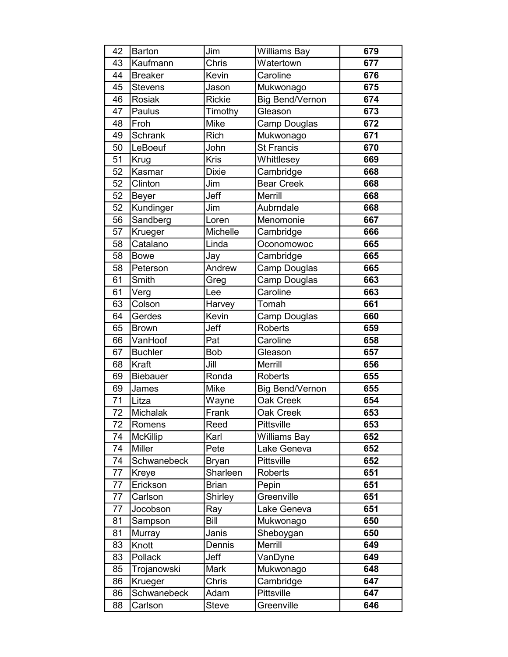| 42 | <b>Barton</b>   | Jim           | <b>Williams Bay</b>    | 679              |
|----|-----------------|---------------|------------------------|------------------|
| 43 | Kaufmann        | Chris         | Watertown              | $\overline{677}$ |
| 44 | <b>Breaker</b>  | Kevin         | Caroline               | 676              |
| 45 | <b>Stevens</b>  | Jason         | Mukwonago              | 675              |
| 46 | <b>Rosiak</b>   | <b>Rickie</b> | <b>Big Bend/Vernon</b> | 674              |
| 47 | Paulus          | Timothy       | Gleason                | 673              |
| 48 | Froh            | Mike          | Camp Douglas           | 672              |
| 49 | <b>Schrank</b>  | <b>Rich</b>   | Mukwonago              | 671              |
| 50 | LeBoeuf         | John          | <b>St Francis</b>      | 670              |
| 51 | Krug            | <b>Kris</b>   | Whittlesey             | 669              |
| 52 | Kasmar          | <b>Dixie</b>  | Cambridge              | 668              |
| 52 | Clinton         | Jim           | <b>Bear Creek</b>      | 668              |
| 52 | <b>Beyer</b>    | Jeff          | Merrill                | 668              |
| 52 | Kundinger       | Jim           | Aubrndale              | 668              |
| 56 | Sandberg        | Loren         | Menomonie              | 667              |
| 57 | Krueger         | Michelle      | Cambridge              | 666              |
| 58 | Catalano        | Linda         | Oconomowoc             | 665              |
| 58 | <b>Bowe</b>     | Jay           | Cambridge              | 665              |
| 58 | Peterson        | Andrew        | Camp Douglas           | 665              |
| 61 | Smith           | Greg          | Camp Douglas           | 663              |
| 61 | Verg            | Lee           | Caroline               | 663              |
| 63 | Colson          | Harvey        | Tomah                  | 661              |
| 64 | Gerdes          | Kevin         | Camp Douglas           | 660              |
| 65 | <b>Brown</b>    | Jeff          | <b>Roberts</b>         | 659              |
| 66 | VanHoof         | Pat           | Caroline               | 658              |
| 67 | <b>Buchler</b>  | <b>Bob</b>    | Gleason                | 657              |
| 68 | Kraft           | Jill          | Merrill                | 656              |
| 69 | <b>Biebauer</b> | Ronda         | <b>Roberts</b>         | 655              |
| 69 | James           | <b>Mike</b>   | <b>Big Bend/Vernon</b> | 655              |
| 71 | Litza           | Wayne         | <b>Oak Creek</b>       | 654              |
| 72 | <b>Michalak</b> | Frank         | Oak Creek              | 653              |
| 72 | Romens          | Reed          | Pittsville             | 653              |
| 74 | <b>McKillip</b> | Karl          | <b>Williams Bay</b>    | 652              |
| 74 | Miller          | Pete          | Lake Geneva            | 652              |
| 74 | Schwanebeck     | <b>Bryan</b>  | Pittsville             | 652              |
| 77 | Kreye           | Sharleen      | Roberts                | 651              |
| 77 | Erickson        | <b>Brian</b>  | Pepin                  | 651              |
| 77 | Carlson         | Shirley       | Greenville             | 651              |
| 77 | Jocobson        | Ray           | Lake Geneva            | 651              |
| 81 | Sampson         | Bill          | Mukwonago              | 650              |
| 81 | Murray          | Janis         | Sheboygan              | 650              |
| 83 | Knott           | Dennis        | Merrill                | 649              |
| 83 | Pollack         | Jeff          | VanDyne                | 649              |
| 85 | Trojanowski     | Mark          | Mukwonago              | 648              |
| 86 | Krueger         | Chris         | Cambridge              | 647              |
| 86 | Schwanebeck     | Adam          | Pittsville             | 647              |
| 88 | Carlson         | <b>Steve</b>  | Greenville             | 646              |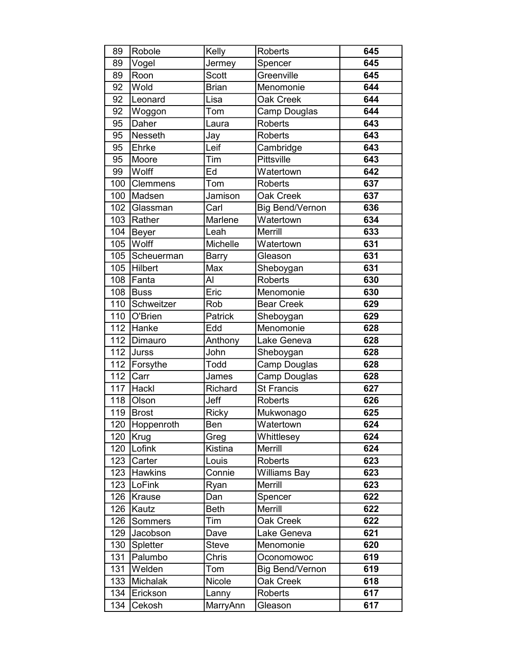| 89                | Robole          | Kelly           | <b>Roberts</b>         | 645 |
|-------------------|-----------------|-----------------|------------------------|-----|
| 89                | Vogel           | Jermey          | Spencer                | 645 |
| 89                | Roon            | <b>Scott</b>    | Greenville             | 645 |
| 92                | Wold            | <b>Brian</b>    | Menomonie              | 644 |
| 92                | Leonard         | Lisa            | Oak Creek              | 644 |
| 92                | Woggon          | Tom             | Camp Douglas           | 644 |
| 95                | Daher           | Laura           | <b>Roberts</b>         | 643 |
| 95                | Nesseth         | Jay             | <b>Roberts</b>         | 643 |
| 95                | Ehrke           | Leif            | Cambridge              | 643 |
| 95                | Moore           | Tim             | <b>Pittsville</b>      | 643 |
| 99                | Wolff           | Ed              | Watertown              | 642 |
| 100               | <b>Clemmens</b> | Tom             | <b>Roberts</b>         | 637 |
| 100               | Madsen          | Jamison         | Oak Creek              | 637 |
| 102               | Glassman        | Carl            | <b>Big Bend/Vernon</b> | 636 |
| 103               | Rather          | Marlene         | Watertown              | 634 |
| 104               | Beyer           | Leah            | Merrill                | 633 |
| 105               | <b>Wolff</b>    | <b>Michelle</b> | Watertown              | 631 |
| 105               | Scheuerman      | <b>Barry</b>    | Gleason                | 631 |
| 105               | Hilbert         | Max             | Sheboygan              | 631 |
| 108               | Fanta           | Al              | <b>Roberts</b>         | 630 |
| 108               | Buss            | Eric            | Menomonie              | 630 |
| 110               | Schweitzer      | Rob             | <b>Bear Creek</b>      | 629 |
| 110               | O'Brien         | Patrick         | Sheboygan              | 629 |
| 112               | Hanke           | Edd             | Menomonie              | 628 |
| 112               | Dimauro         | Anthony         | Lake Geneva            | 628 |
| $\overline{1}$ 12 | <b>Jurss</b>    | John            | Sheboygan              | 628 |
| 112               | Forsythe        | Todd            | Camp Douglas           | 628 |
| 112               | Carr            | James           | Camp Douglas           | 628 |
| 117               | Hackl           | Richard         | <b>St Francis</b>      | 627 |
| 118               | Olson           | Jeff            | <b>Roberts</b>         | 626 |
| 119               | Brost           | Ricky           | Mukwonago              | 625 |
| 120               | Hoppenroth      | Ben             | Watertown              | 624 |
| 120               | Krug            | Greg            | Whittlesey             | 624 |
| 120               | Lofink          | Kistina         | Merrill                | 624 |
| 123               | Carter          | Louis           | <b>Roberts</b>         | 623 |
| 123               | <b>Hawkins</b>  | Connie          | <b>Williams Bay</b>    | 623 |
| 123               | LoFink          | Ryan            | Merrill                | 623 |
| 126               | Krause          | Dan             | Spencer                | 622 |
| 126               | Kautz           | <b>Beth</b>     | Merrill                | 622 |
| 126               | Sommers         | Tim             | Oak Creek              | 622 |
| 129               | Jacobson        | Dave            | Lake Geneva            | 621 |
| 130               | Spletter        | <b>Steve</b>    | Menomonie              | 620 |
| 131               | Palumbo         | Chris           | Oconomowoc             | 619 |
| 131               | Welden          | Tom             | <b>Big Bend/Vernon</b> | 619 |
| 133               | Michalak        | Nicole          | Oak Creek              | 618 |
| 134               | Erickson        | Lanny           | Roberts                | 617 |
| 134               | Cekosh          | MarryAnn        | Gleason                | 617 |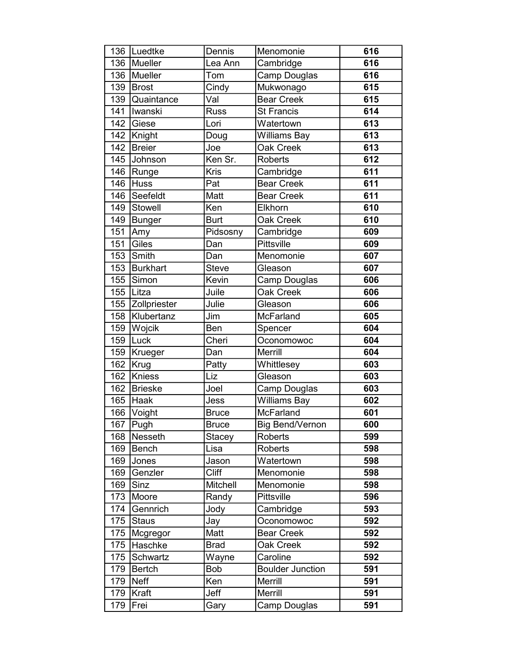| 136 | Luedtke        | Dennis       | Menomonie               | 616              |
|-----|----------------|--------------|-------------------------|------------------|
| 136 | Mueller        | Lea Ann      | Cambridge               | 616              |
| 136 | Mueller        | Tom          | Camp Douglas            | 616              |
| 139 | Brost          | Cindy        | Mukwonago               | 615              |
| 139 | Quaintance     | Val          | Bear Creek              | 615              |
| 141 | Iwanski        | <b>Russ</b>  | <b>St Francis</b>       | 614              |
| 142 | Giese          | Lori         | Watertown               | 613              |
| 142 | Knight         | Doug         | <b>Williams Bay</b>     | 613              |
| 142 | <b>Breier</b>  | Joe          | <b>Oak Creek</b>        | $\overline{613}$ |
| 145 | Johnson        | Ken Sr.      | <b>Roberts</b>          | 612              |
| 146 | Runge          | Kris         | Cambridge               | 611              |
| 146 | Huss           | Pat          | <b>Bear Creek</b>       | 611              |
| 146 | Seefeldt       | Matt         | <b>Bear Creek</b>       | 611              |
| 149 | <b>Stowell</b> | Ken          | Elkhorn                 | 610              |
| 149 | Bunger         | <b>Burt</b>  | Oak Creek               | 610              |
| 151 | Amy            | Pidsosny     | Cambridge               | 609              |
| 151 | Giles          | Dan          | <b>Pittsville</b>       | 609              |
| 153 | Smith          | Dan          | Menomonie               | 607              |
| 153 | Burkhart       | <b>Steve</b> | Gleason                 | 607              |
| 155 | Simon          | Kevin        | Camp Douglas            | 606              |
| 155 | Litza          | Juile        | Oak Creek               | 606              |
| 155 | Zollpriester   | Julie        | Gleason                 | 606              |
| 158 | Klubertanz     | Jim          | McFarland               | 605              |
| 159 | Wojcik         | Ben          | Spencer                 | 604              |
| 159 | Luck           | Cheri        | Oconomowoc              | 604              |
| 159 | Krueger        | Dan          | Merrill                 | 604              |
| 162 | Krug           | Patty        | Whittlesey              | 603              |
| 162 | Kniess         | Liz          | Gleason                 | 603              |
| 162 | Brieske        | Joel         | Camp Douglas            | 603              |
| 165 | Haak           | Jess         | Williams Bay            | 602              |
| 166 | <b>Voight</b>  | <b>Bruce</b> | <b>McFarland</b>        | 601              |
| 167 | Pugh           | <b>Bruce</b> | <b>Big Bend/Vernon</b>  | 600              |
| 168 | Nesseth        | Stacey       | <b>Roberts</b>          | 599              |
| 169 | Bench          | Lisa         | <b>Roberts</b>          | 598              |
| 169 | Jones          | Jason        | Watertown               | 598              |
| 169 | Genzler        | <b>Cliff</b> | Menomonie               | 598              |
| 169 | Sinz           | Mitchell     | Menomonie               | 598              |
| 173 | Moore          | Randy        | Pittsville              | 596              |
| 174 | Gennrich       | Jody         | Cambridge               | 593              |
| 175 | <b>Staus</b>   | Jay          | Oconomowoc              | 592              |
| 175 | Mcgregor       | Matt         | <b>Bear Creek</b>       | 592              |
| 175 | Haschke        | <b>Brad</b>  | Oak Creek               | 592              |
| 175 | Schwartz       | Wayne        | Caroline                | 592              |
| 179 | <b>Bertch</b>  | Bob          | <b>Boulder Junction</b> | 591              |
| 179 | <b>Neff</b>    | Ken          | Merrill                 | 591              |
| 179 | Kraft          | Jeff         | Merrill                 | 591              |
| 179 | Frei           | Gary         | Camp Douglas            | 591              |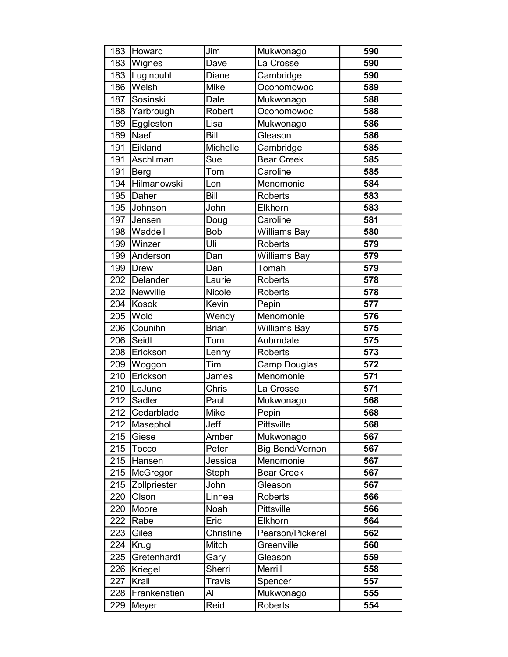| 183              | Howard       | Jim           | Mukwonago              | 590 |
|------------------|--------------|---------------|------------------------|-----|
| 183              | Wignes       | Dave          | La Crosse              | 590 |
| 183              | Luginbuhl    | Diane         | Cambridge              | 590 |
| 186              | Welsh        | Mike          | Oconomowoc             | 589 |
| 187              | Sosinski     | Dale          | Mukwonago              | 588 |
| 188              | Yarbrough    | Robert        | Oconomowoc             | 588 |
| 189              | Eggleston    | Lisa          | Mukwonago              | 586 |
| 189              | <b>Naef</b>  | <b>Bill</b>   | Gleason                | 586 |
| 191              | Eikland      | Michelle      | Cambridge              | 585 |
| 191              | Aschliman    | Sue           | <b>Bear Creek</b>      | 585 |
| 191              | Berg         | Tom           | Caroline               | 585 |
| 194              | Hilmanowski  | Loni          | Menomonie              | 584 |
| 195              | Daher        | Bill          | <b>Roberts</b>         | 583 |
| 195              | Johnson      | John          | Elkhorn                | 583 |
| 197              | Jensen       | Doug          | Caroline               | 581 |
| 198              | Waddell      | <b>Bob</b>    | <b>Williams Bay</b>    | 580 |
| 199              | Winzer       | Uli           | <b>Roberts</b>         | 579 |
| 199              | Anderson     | Dan           | <b>Williams Bay</b>    | 579 |
| 199              | Drew         | Dan           | Tomah                  | 579 |
| 202              | Delander     | Laurie        | <b>Roberts</b>         | 578 |
| 202              | Newville     | Nicole        | <b>Roberts</b>         | 578 |
| 204              | Kosok        | Kevin         | Pepin                  | 577 |
| 205              | Wold         | Wendy         | Menomonie              | 576 |
| 206              | Counihn      | <b>Brian</b>  | <b>Williams Bay</b>    | 575 |
| 206              | Seidl        | Tom           | Aubrndale              | 575 |
| 208              | Erickson     | Lenny         | <b>Roberts</b>         | 573 |
| 209              | Woggon       | Tim           | Camp Douglas           | 572 |
| 210              | Erickson     | James         | Menomonie              | 571 |
| 210              | LeJune       | Chris         | La Crosse              | 571 |
| 212              | Sadler       | Paul          | Mukwonago              | 568 |
| $\overline{212}$ | Cedarblade   | <b>Mike</b>   | Pepin                  | 568 |
| 212              | Masephol     | Jeff          | Pittsville             | 568 |
| 215              | Giese        | Amber         | Mukwonago              | 567 |
| 215              | Tocco        | Peter         | <b>Big Bend/Vernon</b> | 567 |
| 215              | Hansen       | Jessica       | Menomonie              | 567 |
| 215              | McGregor     | Steph         | <b>Bear Creek</b>      | 567 |
| 215              | Zollpriester | John          | Gleason                | 567 |
| 220              | Olson        | Linnea        | <b>Roberts</b>         | 566 |
| 220              | Moore        | Noah          | Pittsville             | 566 |
| 222              | Rabe         | Eric          | Elkhorn                | 564 |
| 223              | Giles        | Christine     | Pearson/Pickerel       | 562 |
| 224              | Krug         | Mitch         | Greenville             | 560 |
| 225              | Gretenhardt  | Gary          | Gleason                | 559 |
| 226              | Kriegel      | Sherri        | Merrill                | 558 |
| 227              | Krall        | <b>Travis</b> | Spencer                | 557 |
| 228              | Frankenstien | Al            | Mukwonago              | 555 |
| 229              | Meyer        | Reid          | Roberts                | 554 |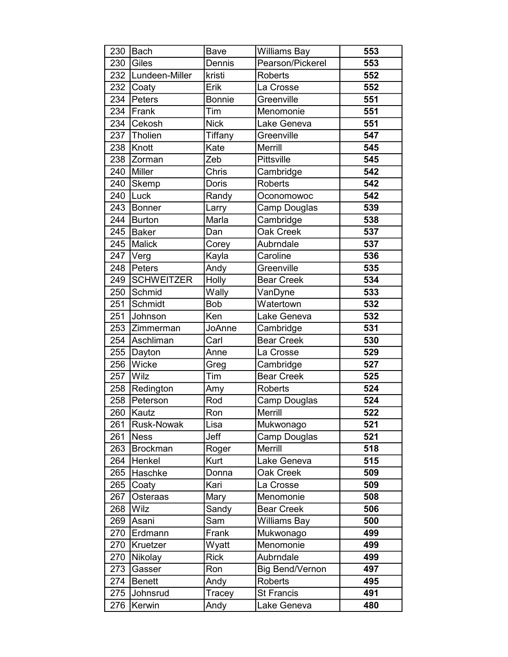| 230 | Bach              | Bave          | <b>Williams Bay</b>    | 553 |
|-----|-------------------|---------------|------------------------|-----|
| 230 | Giles             | Dennis        | Pearson/Pickerel       | 553 |
| 232 | Lundeen-Miller    | kristi        | <b>Roberts</b>         | 552 |
| 232 | Coaty             | Erik          | La Crosse              | 552 |
| 234 | Peters            | <b>Bonnie</b> | Greenville             | 551 |
| 234 | Frank             | Tim           | Menomonie              | 551 |
| 234 | Cekosh            | <b>Nick</b>   | Lake Geneva            | 551 |
| 237 | Tholien           | Tiffany       | Greenville             | 547 |
| 238 | Knott             | Kate          | Merrill                | 545 |
| 238 | Zorman            | Zeb           | Pittsville             | 545 |
| 240 | Miller            | Chris         | Cambridge              | 542 |
| 240 | Skemp             | <b>Doris</b>  | <b>Roberts</b>         | 542 |
| 240 | Luck              | Randy         | Oconomowoc             | 542 |
| 243 | Bonner            | Larry         | Camp Douglas           | 539 |
| 244 | Burton            | Marla         | Cambridge              | 538 |
| 245 | Baker             | Dan           | <b>Oak Creek</b>       | 537 |
| 245 | Malick            | Corey         | Aubrndale              | 537 |
| 247 | Verg              | Kayla         | Caroline               | 536 |
| 248 | Peters            | Andy          | Greenville             | 535 |
| 249 | <b>SCHWEITZER</b> | Holly         | <b>Bear Creek</b>      | 534 |
| 250 | Schmid            | Wally         | VanDyne                | 533 |
| 251 | Schmidt           | <b>Bob</b>    | Watertown              | 532 |
| 251 | Johnson           | Ken           | Lake Geneva            | 532 |
| 253 | Zimmerman         | JoAnne        | Cambridge              | 531 |
| 254 | Aschliman         | Carl          | <b>Bear Creek</b>      | 530 |
| 255 | Dayton            | Anne          | La Crosse              | 529 |
| 256 | Wicke             | Greg          | Cambridge              | 527 |
| 257 | Wilz              | Tim           | <b>Bear Creek</b>      | 525 |
| 258 | Redington         | Amy           | <b>Roberts</b>         | 524 |
| 258 | Peterson          | Rod           | Camp Douglas           | 524 |
| 260 | Kautz             | Ron           | Merrill                | 522 |
| 261 | <b>Rusk-Nowak</b> | Lisa          | Mukwonago              | 521 |
| 261 | Ness              | Jeff          | Camp Douglas           | 521 |
| 263 | <b>Brockman</b>   | Roger         | Merrill                | 518 |
| 264 | Henkel            | Kurt          | Lake Geneva            | 515 |
| 265 | Haschke           | Donna         | Oak Creek              | 509 |
| 265 | Coaty             | Kari          | La Crosse              | 509 |
| 267 | Osteraas          | Mary          | Menomonie              | 508 |
| 268 | <b>Wilz</b>       | Sandy         | <b>Bear Creek</b>      | 506 |
| 269 | Asani             | Sam           | Williams Bay           | 500 |
| 270 | Erdmann           | Frank         | Mukwonago              | 499 |
| 270 | Kruetzer          | Wyatt         | Menomonie              | 499 |
| 270 | Nikolay           | <b>Rick</b>   | Aubrndale              | 499 |
| 273 | Gasser            | Ron           | <b>Big Bend/Vernon</b> | 497 |
| 274 | <b>Benett</b>     | Andy          | <b>Roberts</b>         | 495 |
| 275 | Johnsrud          | Tracey        | <b>St Francis</b>      | 491 |
| 276 | Kerwin            | Andy          | Lake Geneva            | 480 |